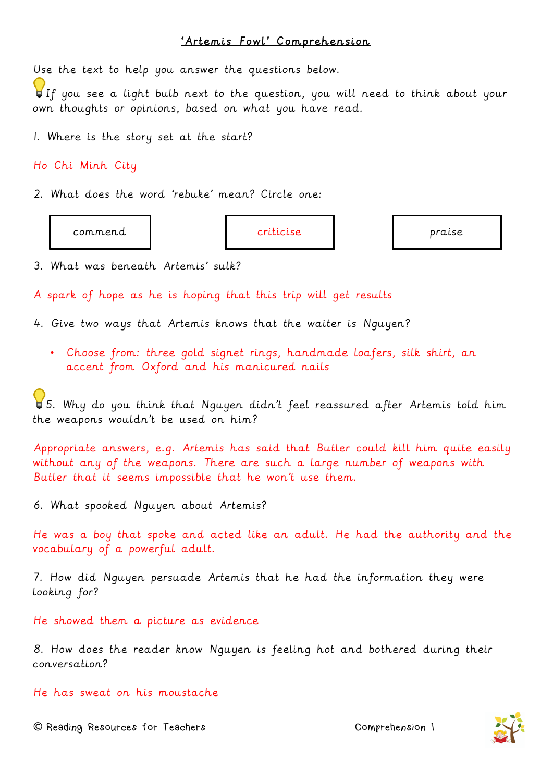## 'Artemis Fowl' Comprehension

Use the text to help you answer the questions below.

If you see a light bulb next to the question, you will need to think about your own thoughts or opinions, based on what you have read.

1. Where is the story set at the start?

Ho Chi Minh City

2. What does the word 'rebuke' mean? Circle one:

commend **criticise praise by the criticise** praise praise praise

3. What was beneath Artemis' sulk?

A spark of hope as he is hoping that this trip will get results

4. Give two ways that Artemis knows that the waiter is Nguyen?

• Choose from: three gold signet rings, handmade loafers, silk shirt, an accent from Oxford and his manicured nails

5. Why do you think that Nguyen didn't feel reassured after Artemis told him the weapons wouldn't be used on him?

Appropriate answers, e.g. Artemis has said that Butler could kill him quite easily without any of the weapons. There are such a large number of weapons with Butler that it seems impossible that he won't use them.

6. What spooked Nguyen about Artemis?

He was a boy that spoke and acted like an adult. He had the authority and the vocabulary of a powerful adult.

7. How did Nguyen persuade Artemis that he had the information they were looking for?

He showed them a picture as evidence

8. How does the reader know Nguyen is feeling hot and bothered during their conversation?

He has sweat on his moustache

**©** Reading Resources for Teachers Comprehension 1